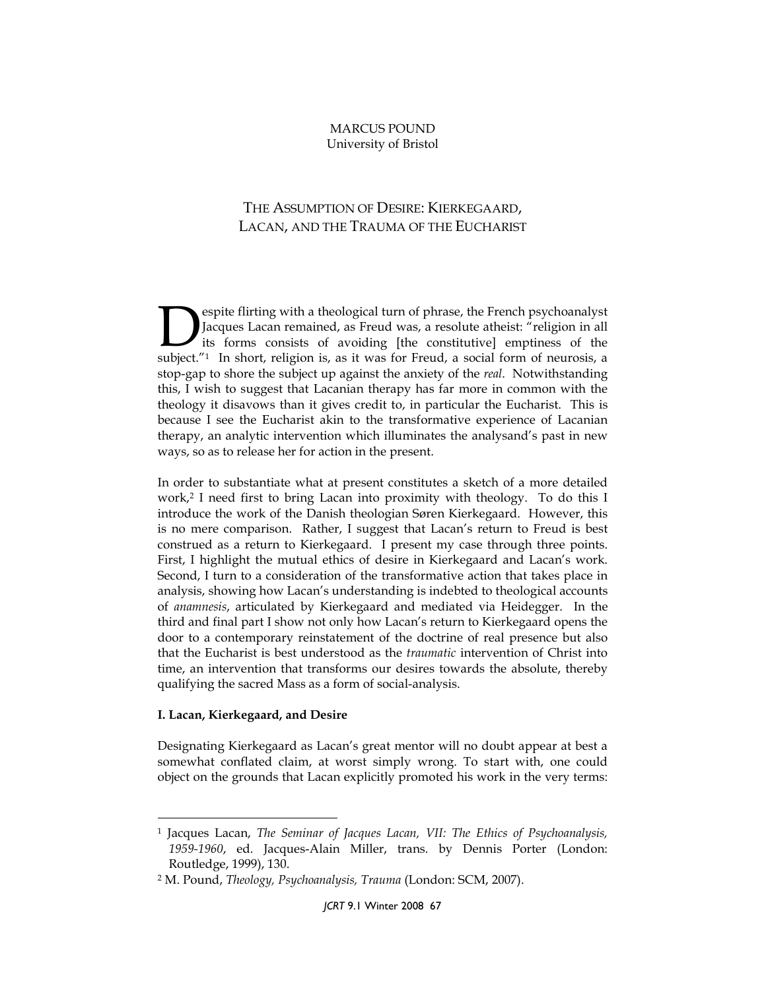## MARCUS POUND University of Bristol

# THE ASSUMPTION OF DESIRE: KIERKEGAARD, LACAN, AND THE TRAUMA OF THE EUCHARIST

espite flirting with a theological turn of phrase, the French psychoanalyst Jacques Lacan remained, as Freud was, a resolute atheist: "religion in all its forms consists of avoiding [the constitutive] emptiness of the Subject."<sup>1</sup> In short, religion is, as it was for Freud, a social form of neurosis, a resolute atheist: "religion in all its forms consists of avoiding [the constitutive] emptiness of the subject."<sup>1</sup> In short, religion is stop-gap to shore the subject up against the anxiety of the *real*. Notwithstanding this, I wish to suggest that Lacanian therapy has far more in common with the theology it disavows than it gives credit to, in particular the Eucharist. This is because I see the Eucharist akin to the transformative experience of Lacanian therapy, an analytic intervention which illuminates the analysand's past in new ways, so as to release her for action in the present.

In order to substantiate what at present constitutes a sketch of a more detailed work,<sup>2</sup> I need first to bring Lacan into proximity with theology. To do this I introduce the work of the Danish theologian Søren Kierkegaard. However, this is no mere comparison. Rather, I suggest that Lacan's return to Freud is best construed as a return to Kierkegaard. I present my case through three points. First, I highlight the mutual ethics of desire in Kierkegaard and Lacan's work. Second, I turn to a consideration of the transformative action that takes place in analysis, showing how Lacan's understanding is indebted to theological accounts of anamnesis, articulated by Kierkegaard and mediated via Heidegger. In the third and final part I show not only how Lacan's return to Kierkegaard opens the door to a contemporary reinstatement of the doctrine of real presence but also that the Eucharist is best understood as the traumatic intervention of Christ into time, an intervention that transforms our desires towards the absolute, thereby qualifying the sacred Mass as a form of social-analysis.

#### I. Lacan, Kierkegaard, and Desire

 $\overline{a}$ 

Designating Kierkegaard as Lacan's great mentor will no doubt appear at best a somewhat conflated claim, at worst simply wrong. To start with, one could object on the grounds that Lacan explicitly promoted his work in the very terms:

<sup>1</sup> Jacques Lacan, The Seminar of Jacques Lacan, VII: The Ethics of Psychoanalysis, 1959-1960, ed. Jacques-Alain Miller, trans. by Dennis Porter (London: Routledge, 1999), 130.

<sup>2</sup> M. Pound, Theology, Psychoanalysis, Trauma (London: SCM, 2007).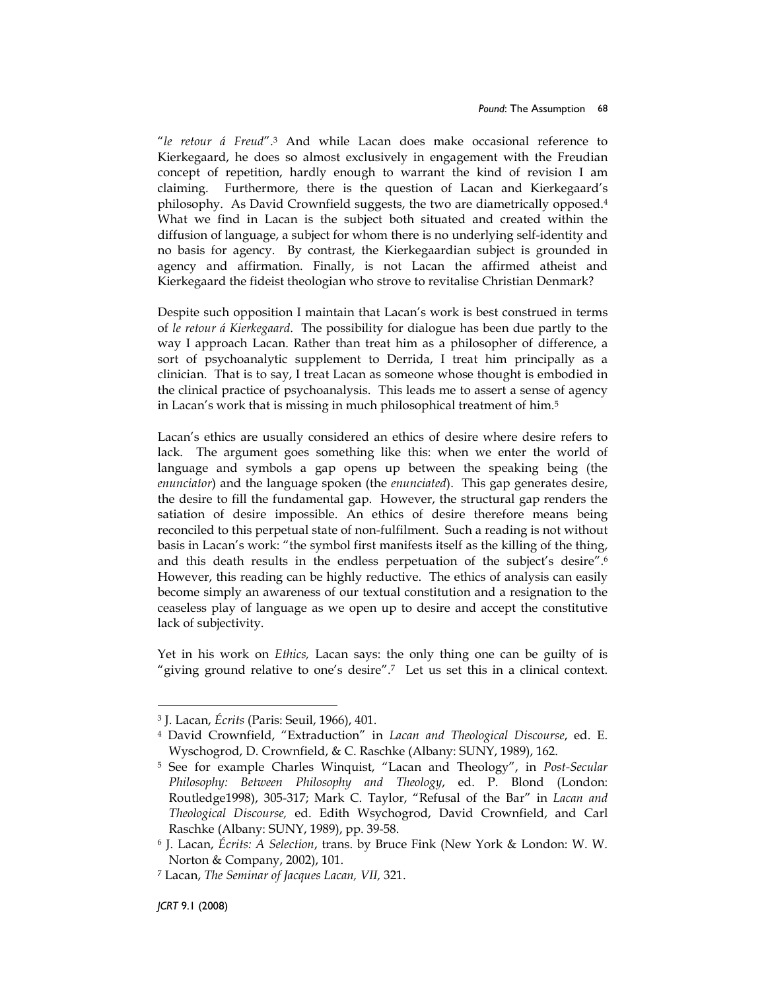"le retour á Freud".<sup>3</sup> And while Lacan does make occasional reference to Kierkegaard, he does so almost exclusively in engagement with the Freudian concept of repetition, hardly enough to warrant the kind of revision I am claiming. Furthermore, there is the question of Lacan and Kierkegaard's philosophy. As David Crownfield suggests, the two are diametrically opposed.<sup>4</sup> What we find in Lacan is the subject both situated and created within the diffusion of language, a subject for whom there is no underlying self-identity and no basis for agency. By contrast, the Kierkegaardian subject is grounded in agency and affirmation. Finally, is not Lacan the affirmed atheist and Kierkegaard the fideist theologian who strove to revitalise Christian Denmark?

Despite such opposition I maintain that Lacan's work is best construed in terms of le retour á Kierkegaard. The possibility for dialogue has been due partly to the way I approach Lacan. Rather than treat him as a philosopher of difference, a sort of psychoanalytic supplement to Derrida, I treat him principally as a clinician. That is to say, I treat Lacan as someone whose thought is embodied in the clinical practice of psychoanalysis. This leads me to assert a sense of agency in Lacan's work that is missing in much philosophical treatment of him.<sup>5</sup>

Lacan's ethics are usually considered an ethics of desire where desire refers to lack. The argument goes something like this: when we enter the world of language and symbols a gap opens up between the speaking being (the enunciator) and the language spoken (the enunciated). This gap generates desire, the desire to fill the fundamental gap. However, the structural gap renders the satiation of desire impossible. An ethics of desire therefore means being reconciled to this perpetual state of non-fulfilment. Such a reading is not without basis in Lacan's work: "the symbol first manifests itself as the killing of the thing, and this death results in the endless perpetuation of the subject's desire".<sup>6</sup> However, this reading can be highly reductive. The ethics of analysis can easily become simply an awareness of our textual constitution and a resignation to the ceaseless play of language as we open up to desire and accept the constitutive lack of subjectivity.

Yet in his work on Ethics, Lacan says: the only thing one can be guilty of is "giving ground relative to one's desire".<sup>7</sup> Let us set this in a clinical context.

<sup>3</sup> J. Lacan, Écrits (Paris: Seuil, 1966), 401.

<sup>4</sup> David Crownfield, "Extraduction" in Lacan and Theological Discourse, ed. E. Wyschogrod, D. Crownfield, & C. Raschke (Albany: SUNY, 1989), 162.

<sup>&</sup>lt;sup>5</sup> See for example Charles Winquist, "Lacan and Theology", in *Post-Secular* Philosophy: Between Philosophy and Theology, ed. P. Blond (London: Routledge1998), 305-317; Mark C. Taylor, "Refusal of the Bar" in Lacan and Theological Discourse, ed. Edith Wsychogrod, David Crownfield, and Carl Raschke (Albany: SUNY, 1989), pp. 39-58.

<sup>6</sup> J. Lacan, Écrits: A Selection, trans. by Bruce Fink (New York & London: W. W. Norton & Company, 2002), 101.

<sup>7</sup> Lacan, The Seminar of Jacques Lacan, VII, 321.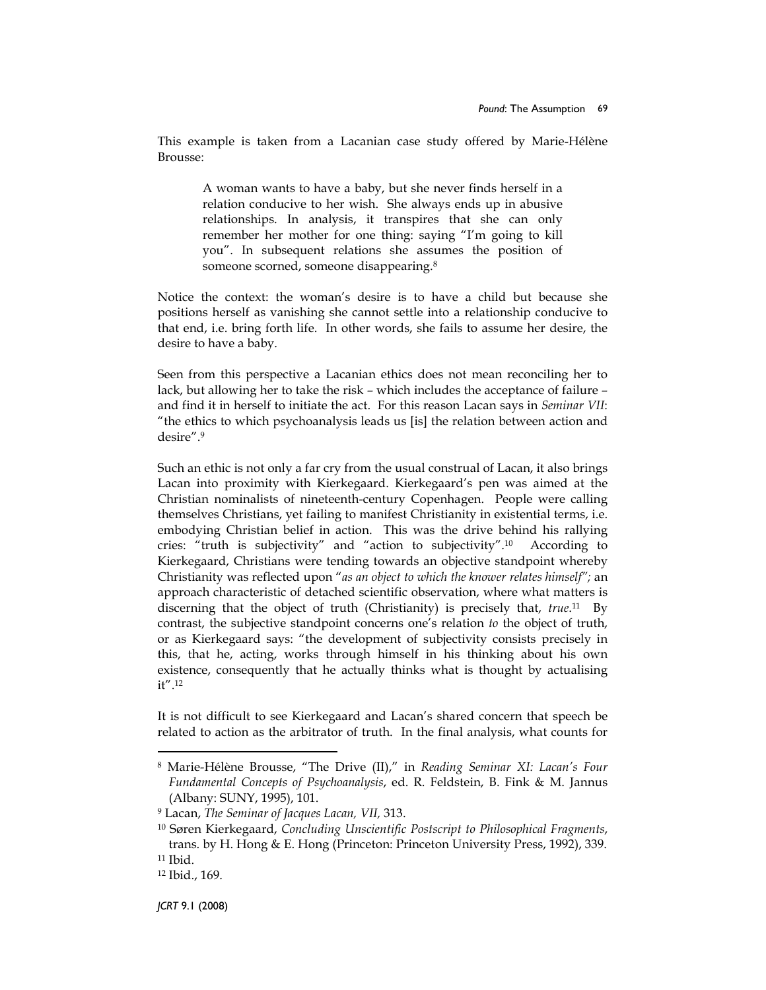This example is taken from a Lacanian case study offered by Marie-Hélène Brousse:

> A woman wants to have a baby, but she never finds herself in a relation conducive to her wish. She always ends up in abusive relationships. In analysis, it transpires that she can only remember her mother for one thing: saying "I'm going to kill you". In subsequent relations she assumes the position of someone scorned, someone disappearing.<sup>8</sup>

Notice the context: the woman's desire is to have a child but because she positions herself as vanishing she cannot settle into a relationship conducive to that end, i.e. bring forth life. In other words, she fails to assume her desire, the desire to have a baby.

Seen from this perspective a Lacanian ethics does not mean reconciling her to lack, but allowing her to take the risk – which includes the acceptance of failure – and find it in herself to initiate the act. For this reason Lacan says in Seminar VII: "the ethics to which psychoanalysis leads us [is] the relation between action and desire".<sup>9</sup>

Such an ethic is not only a far cry from the usual construal of Lacan, it also brings Lacan into proximity with Kierkegaard. Kierkegaard's pen was aimed at the Christian nominalists of nineteenth-century Copenhagen. People were calling themselves Christians, yet failing to manifest Christianity in existential terms, i.e. embodying Christian belief in action. This was the drive behind his rallying cries: "truth is subjectivity" and "action to subjectivity".<sup>10</sup> According to Kierkegaard, Christians were tending towards an objective standpoint whereby Christianity was reflected upon "as an object to which the knower relates himself"; an approach characteristic of detached scientific observation, where what matters is discerning that the object of truth (Christianity) is precisely that, *true*.<sup>11</sup> By contrast, the subjective standpoint concerns one's relation to the object of truth, or as Kierkegaard says: "the development of subjectivity consists precisely in this, that he, acting, works through himself in his thinking about his own existence, consequently that he actually thinks what is thought by actualising it".<sup>12</sup>

It is not difficult to see Kierkegaard and Lacan's shared concern that speech be related to action as the arbitrator of truth. In the final analysis, what counts for

<sup>8</sup> Marie-Hélène Brousse, "The Drive (II)," in Reading Seminar XI: Lacan's Four Fundamental Concepts of Psychoanalysis, ed. R. Feldstein, B. Fink & M. Jannus (Albany: SUNY, 1995), 101.

<sup>9</sup> Lacan, The Seminar of Jacques Lacan, VII, 313.

<sup>&</sup>lt;sup>10</sup> Søren Kierkegaard, Concluding Unscientific Postscript to Philosophical Fragments, trans. by H. Hong & E. Hong (Princeton: Princeton University Press, 1992), 339. <sup>11</sup> Ibid.

<sup>12</sup> Ibid., 169.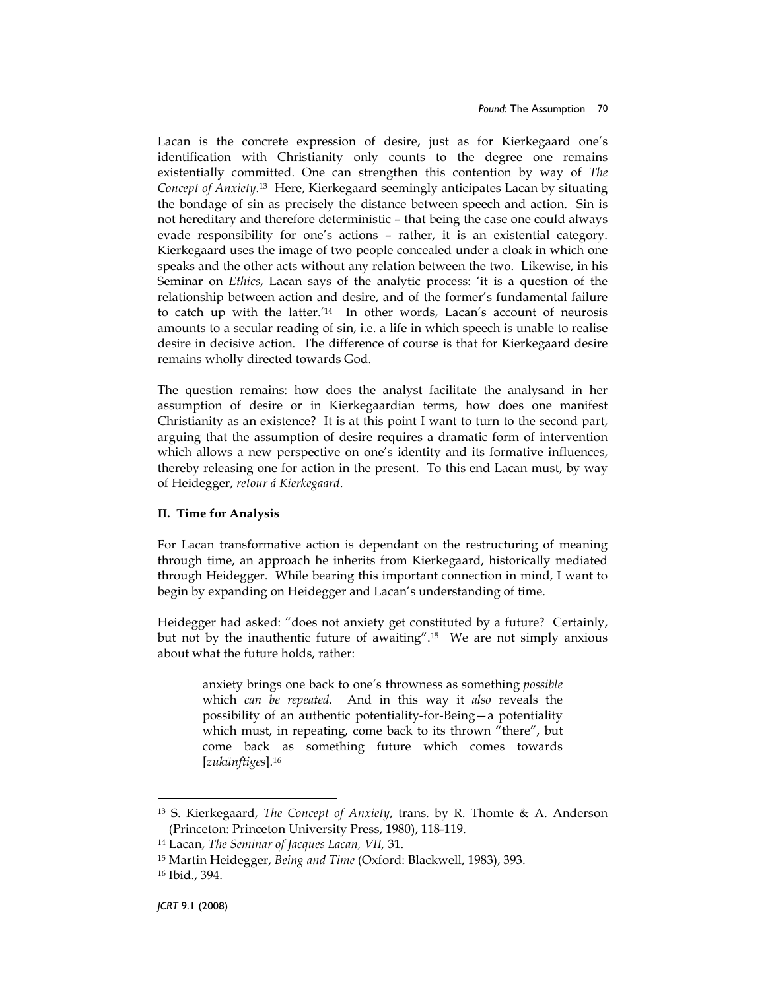Lacan is the concrete expression of desire, just as for Kierkegaard one's identification with Christianity only counts to the degree one remains existentially committed. One can strengthen this contention by way of The Concept of Anxiety.<sup>13</sup> Here, Kierkegaard seemingly anticipates Lacan by situating the bondage of sin as precisely the distance between speech and action. Sin is not hereditary and therefore deterministic – that being the case one could always evade responsibility for one's actions – rather, it is an existential category. Kierkegaard uses the image of two people concealed under a cloak in which one speaks and the other acts without any relation between the two. Likewise, in his Seminar on *Ethics*, Lacan says of the analytic process: 'it is a question of the relationship between action and desire, and of the former's fundamental failure to catch up with the latter.'<sup>14</sup> In other words, Lacan's account of neurosis amounts to a secular reading of sin, i.e. a life in which speech is unable to realise desire in decisive action. The difference of course is that for Kierkegaard desire remains wholly directed towards God.

The question remains: how does the analyst facilitate the analysand in her assumption of desire or in Kierkegaardian terms, how does one manifest Christianity as an existence? It is at this point I want to turn to the second part, arguing that the assumption of desire requires a dramatic form of intervention which allows a new perspective on one's identity and its formative influences, thereby releasing one for action in the present. To this end Lacan must, by way of Heidegger, retour á Kierkegaard.

#### II. Time for Analysis

For Lacan transformative action is dependant on the restructuring of meaning through time, an approach he inherits from Kierkegaard, historically mediated through Heidegger. While bearing this important connection in mind, I want to begin by expanding on Heidegger and Lacan's understanding of time.

Heidegger had asked: "does not anxiety get constituted by a future? Certainly, but not by the inauthentic future of awaiting".<sup>15</sup> We are not simply anxious about what the future holds, rather:

anxiety brings one back to one's throwness as something possible which can be repeated. And in this way it also reveals the possibility of an authentic potentiality-for-Being—a potentiality which must, in repeating, come back to its thrown "there", but come back as something future which comes towards [zukünftiges].<sup>16</sup>

<sup>13</sup> S. Kierkegaard, The Concept of Anxiety, trans. by R. Thomte & A. Anderson (Princeton: Princeton University Press, 1980), 118-119.

<sup>14</sup> Lacan, The Seminar of Jacques Lacan, VII, 31.

<sup>15</sup> Martin Heidegger, Being and Time (Oxford: Blackwell, 1983), 393.

<sup>16</sup> Ibid., 394.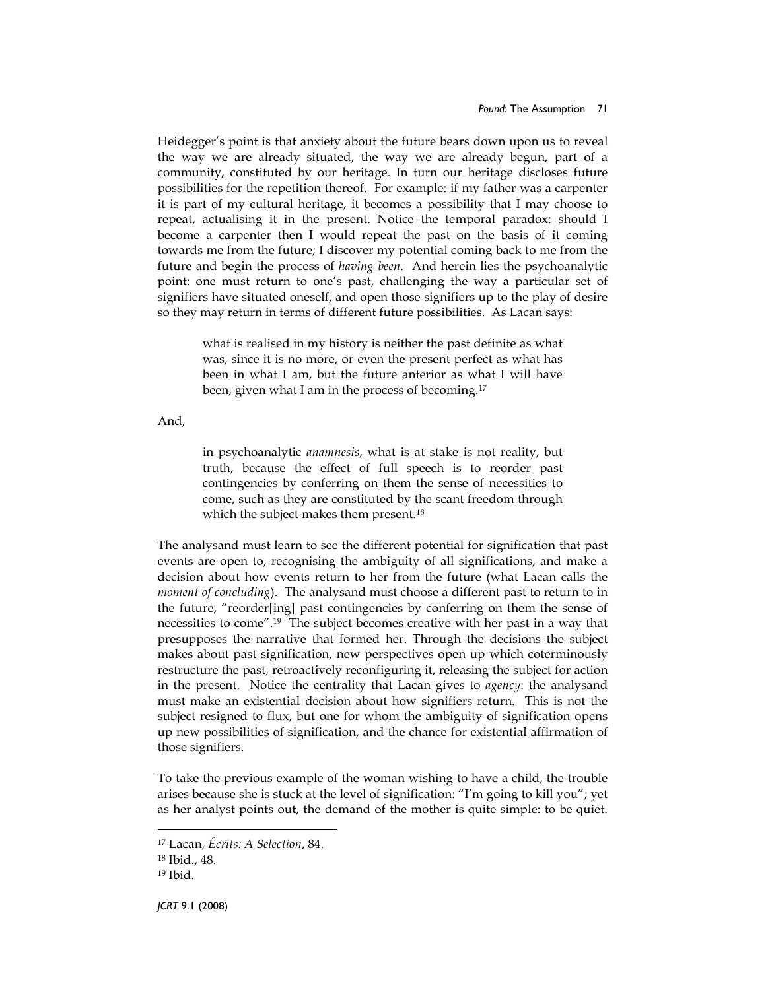Heidegger's point is that anxiety about the future bears down upon us to reveal the way we are already situated, the way we are already begun, part of a community, constituted by our heritage. In turn our heritage discloses future possibilities for the repetition thereof. For example: if my father was a carpenter it is part of my cultural heritage, it becomes a possibility that I may choose to repeat, actualising it in the present. Notice the temporal paradox: should I become a carpenter then I would repeat the past on the basis of it coming towards me from the future; I discover my potential coming back to me from the future and begin the process of *having been*. And herein lies the psychoanalytic point: one must return to one's past, challenging the way a particular set of signifiers have situated oneself, and open those signifiers up to the play of desire so they may return in terms of different future possibilities. As Lacan says:

> what is realised in my history is neither the past definite as what was, since it is no more, or even the present perfect as what has been in what I am, but the future anterior as what I will have been, given what I am in the process of becoming.<sup>17</sup>

And,

in psychoanalytic anamnesis, what is at stake is not reality, but truth, because the effect of full speech is to reorder past contingencies by conferring on them the sense of necessities to come, such as they are constituted by the scant freedom through which the subject makes them present.<sup>18</sup>

The analysand must learn to see the different potential for signification that past events are open to, recognising the ambiguity of all significations, and make a decision about how events return to her from the future (what Lacan calls the moment of concluding). The analysand must choose a different past to return to in the future, "reorder[ing] past contingencies by conferring on them the sense of necessities to come".<sup>19</sup> The subject becomes creative with her past in a way that presupposes the narrative that formed her. Through the decisions the subject makes about past signification, new perspectives open up which coterminously restructure the past, retroactively reconfiguring it, releasing the subject for action in the present. Notice the centrality that Lacan gives to *agency*: the analysand must make an existential decision about how signifiers return. This is not the subject resigned to flux, but one for whom the ambiguity of signification opens up new possibilities of signification, and the chance for existential affirmation of those signifiers.

To take the previous example of the woman wishing to have a child, the trouble arises because she is stuck at the level of signification: "I'm going to kill you"; yet as her analyst points out, the demand of the mother is quite simple: to be quiet.

<sup>17</sup> Lacan, Écrits: A Selection, 84.

<sup>18</sup> Ibid., 48.

<sup>19</sup> Ibid.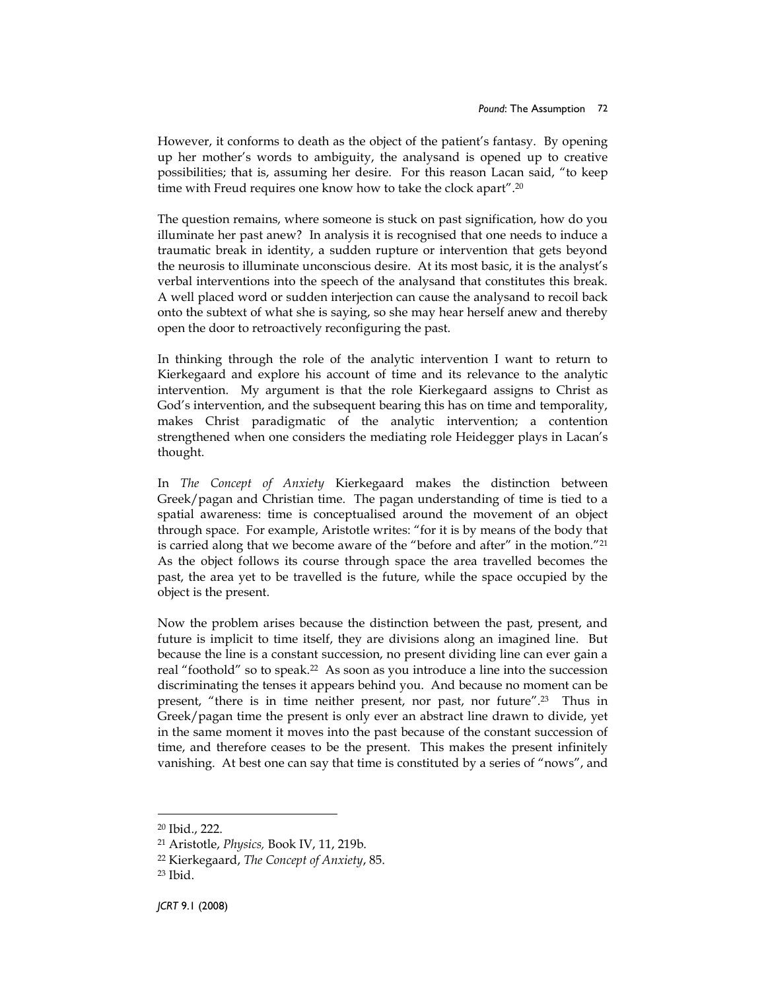However, it conforms to death as the object of the patient's fantasy. By opening up her mother's words to ambiguity, the analysand is opened up to creative possibilities; that is, assuming her desire. For this reason Lacan said, "to keep time with Freud requires one know how to take the clock apart".<sup>20</sup>

The question remains, where someone is stuck on past signification, how do you illuminate her past anew? In analysis it is recognised that one needs to induce a traumatic break in identity, a sudden rupture or intervention that gets beyond the neurosis to illuminate unconscious desire. At its most basic, it is the analyst's verbal interventions into the speech of the analysand that constitutes this break. A well placed word or sudden interjection can cause the analysand to recoil back onto the subtext of what she is saying, so she may hear herself anew and thereby open the door to retroactively reconfiguring the past.

In thinking through the role of the analytic intervention I want to return to Kierkegaard and explore his account of time and its relevance to the analytic intervention. My argument is that the role Kierkegaard assigns to Christ as God's intervention, and the subsequent bearing this has on time and temporality, makes Christ paradigmatic of the analytic intervention; a contention strengthened when one considers the mediating role Heidegger plays in Lacan's thought.

In The Concept of Anxiety Kierkegaard makes the distinction between Greek/pagan and Christian time. The pagan understanding of time is tied to a spatial awareness: time is conceptualised around the movement of an object through space. For example, Aristotle writes: "for it is by means of the body that is carried along that we become aware of the "before and after" in the motion."<sup>21</sup> As the object follows its course through space the area travelled becomes the past, the area yet to be travelled is the future, while the space occupied by the object is the present.

Now the problem arises because the distinction between the past, present, and future is implicit to time itself, they are divisions along an imagined line. But because the line is a constant succession, no present dividing line can ever gain a real "foothold" so to speak.<sup>22</sup> As soon as you introduce a line into the succession discriminating the tenses it appears behind you. And because no moment can be present, "there is in time neither present, nor past, nor future".<sup>23</sup> Thus in Greek/pagan time the present is only ever an abstract line drawn to divide, yet in the same moment it moves into the past because of the constant succession of time, and therefore ceases to be the present. This makes the present infinitely vanishing. At best one can say that time is constituted by a series of "nows", and

<sup>20</sup> Ibid., 222.

<sup>21</sup> Aristotle, Physics, Book IV, 11, 219b.

<sup>22</sup> Kierkegaard, The Concept of Anxiety, 85.

<sup>23</sup> Ibid.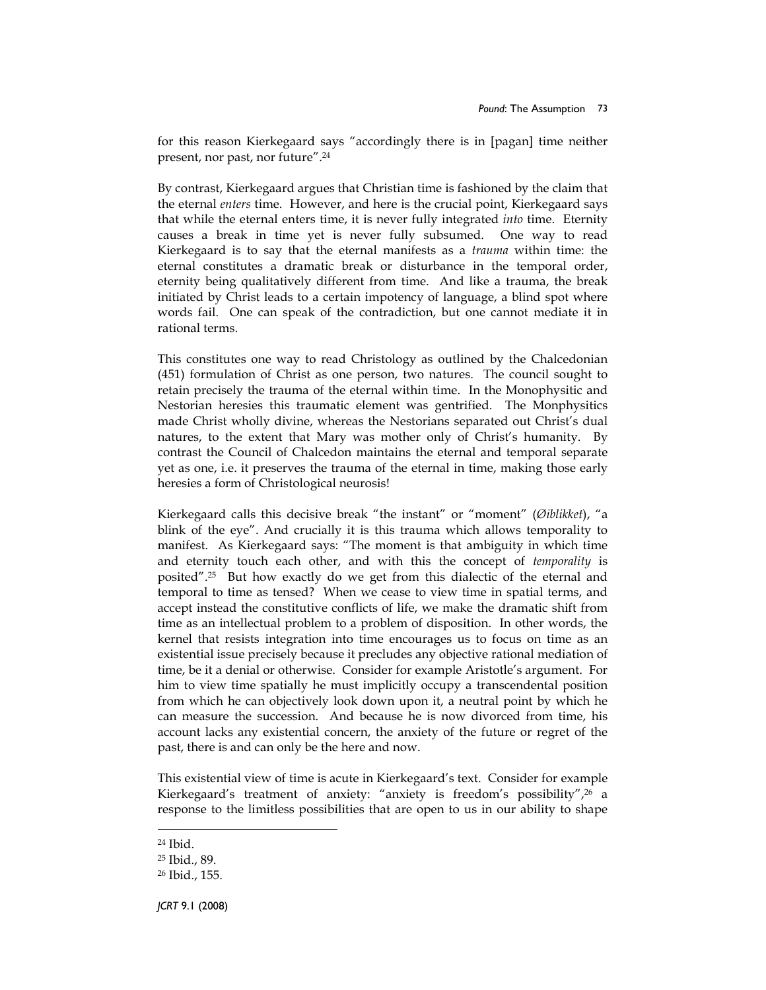for this reason Kierkegaard says "accordingly there is in [pagan] time neither present, nor past, nor future".<sup>24</sup>

By contrast, Kierkegaard argues that Christian time is fashioned by the claim that the eternal enters time. However, and here is the crucial point, Kierkegaard says that while the eternal enters time, it is never fully integrated into time. Eternity causes a break in time yet is never fully subsumed. One way to read Kierkegaard is to say that the eternal manifests as a trauma within time: the eternal constitutes a dramatic break or disturbance in the temporal order, eternity being qualitatively different from time. And like a trauma, the break initiated by Christ leads to a certain impotency of language, a blind spot where words fail. One can speak of the contradiction, but one cannot mediate it in rational terms.

This constitutes one way to read Christology as outlined by the Chalcedonian (451) formulation of Christ as one person, two natures. The council sought to retain precisely the trauma of the eternal within time. In the Monophysitic and Nestorian heresies this traumatic element was gentrified. The Monphysitics made Christ wholly divine, whereas the Nestorians separated out Christ's dual natures, to the extent that Mary was mother only of Christ's humanity. By contrast the Council of Chalcedon maintains the eternal and temporal separate yet as one, i.e. it preserves the trauma of the eternal in time, making those early heresies a form of Christological neurosis!

Kierkegaard calls this decisive break "the instant" or "moment" (Øiblikket), "a blink of the eye". And crucially it is this trauma which allows temporality to manifest. As Kierkegaard says: "The moment is that ambiguity in which time and eternity touch each other, and with this the concept of temporality is posited".<sup>25</sup> But how exactly do we get from this dialectic of the eternal and temporal to time as tensed? When we cease to view time in spatial terms, and accept instead the constitutive conflicts of life, we make the dramatic shift from time as an intellectual problem to a problem of disposition. In other words, the kernel that resists integration into time encourages us to focus on time as an existential issue precisely because it precludes any objective rational mediation of time, be it a denial or otherwise. Consider for example Aristotle's argument. For him to view time spatially he must implicitly occupy a transcendental position from which he can objectively look down upon it, a neutral point by which he can measure the succession. And because he is now divorced from time, his account lacks any existential concern, the anxiety of the future or regret of the past, there is and can only be the here and now.

This existential view of time is acute in Kierkegaard's text. Consider for example Kierkegaard's treatment of anxiety: "anxiety is freedom's possibility",<sup>26</sup> a response to the limitless possibilities that are open to us in our ability to shape

 $\overline{a}$ 

JCRT 9.1 (2008)

<sup>24</sup> Ibid.

<sup>25</sup> Ibid., 89.

<sup>26</sup> Ibid., 155.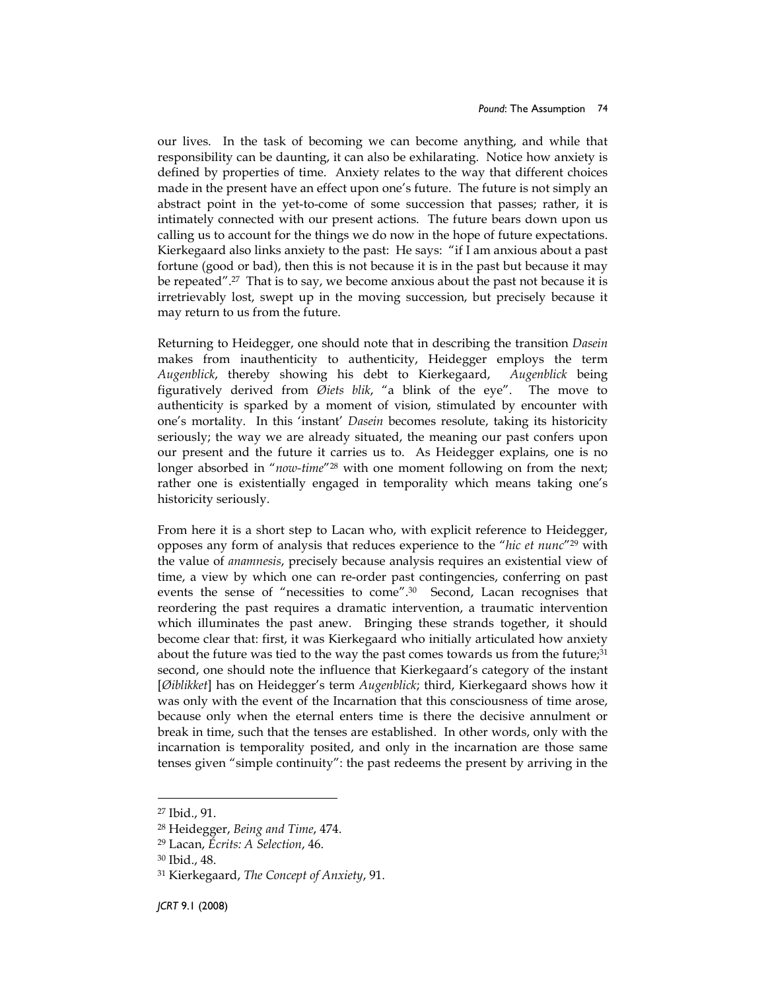our lives. In the task of becoming we can become anything, and while that responsibility can be daunting, it can also be exhilarating. Notice how anxiety is defined by properties of time. Anxiety relates to the way that different choices made in the present have an effect upon one's future. The future is not simply an abstract point in the yet-to-come of some succession that passes; rather, it is intimately connected with our present actions. The future bears down upon us calling us to account for the things we do now in the hope of future expectations. Kierkegaard also links anxiety to the past: He says: "if I am anxious about a past fortune (good or bad), then this is not because it is in the past but because it may be repeated".<sup>27</sup> That is to say, we become anxious about the past not because it is irretrievably lost, swept up in the moving succession, but precisely because it may return to us from the future.

Returning to Heidegger, one should note that in describing the transition Dasein makes from inauthenticity to authenticity, Heidegger employs the term Augenblick, thereby showing his debt to Kierkegaard, Augenblick being figuratively derived from Øiets blik, "a blink of the eye". The move to authenticity is sparked by a moment of vision, stimulated by encounter with one's mortality. In this 'instant' Dasein becomes resolute, taking its historicity seriously; the way we are already situated, the meaning our past confers upon our present and the future it carries us to. As Heidegger explains, one is no longer absorbed in "*now-time*"<sup>28</sup> with one moment following on from the next; rather one is existentially engaged in temporality which means taking one's historicity seriously.

From here it is a short step to Lacan who, with explicit reference to Heidegger, opposes any form of analysis that reduces experience to the "*hic et nunc*"<sup>29</sup> with the value of anamnesis, precisely because analysis requires an existential view of time, a view by which one can re-order past contingencies, conferring on past events the sense of "necessities to come".<sup>30</sup> Second, Lacan recognises that reordering the past requires a dramatic intervention, a traumatic intervention which illuminates the past anew. Bringing these strands together, it should become clear that: first, it was Kierkegaard who initially articulated how anxiety about the future was tied to the way the past comes towards us from the future; $^{31}$ second, one should note the influence that Kierkegaard's category of the instant [Øiblikket] has on Heidegger's term Augenblick; third, Kierkegaard shows how it was only with the event of the Incarnation that this consciousness of time arose, because only when the eternal enters time is there the decisive annulment or break in time, such that the tenses are established. In other words, only with the incarnation is temporality posited, and only in the incarnation are those same tenses given "simple continuity": the past redeems the present by arriving in the

<sup>27</sup> Ibid., 91.

<sup>28</sup> Heidegger, Being and Time, 474.

<sup>29</sup> Lacan, Écrits: A Selection, 46.

<sup>30</sup> Ibid., 48.

<sup>31</sup> Kierkegaard, The Concept of Anxiety, 91.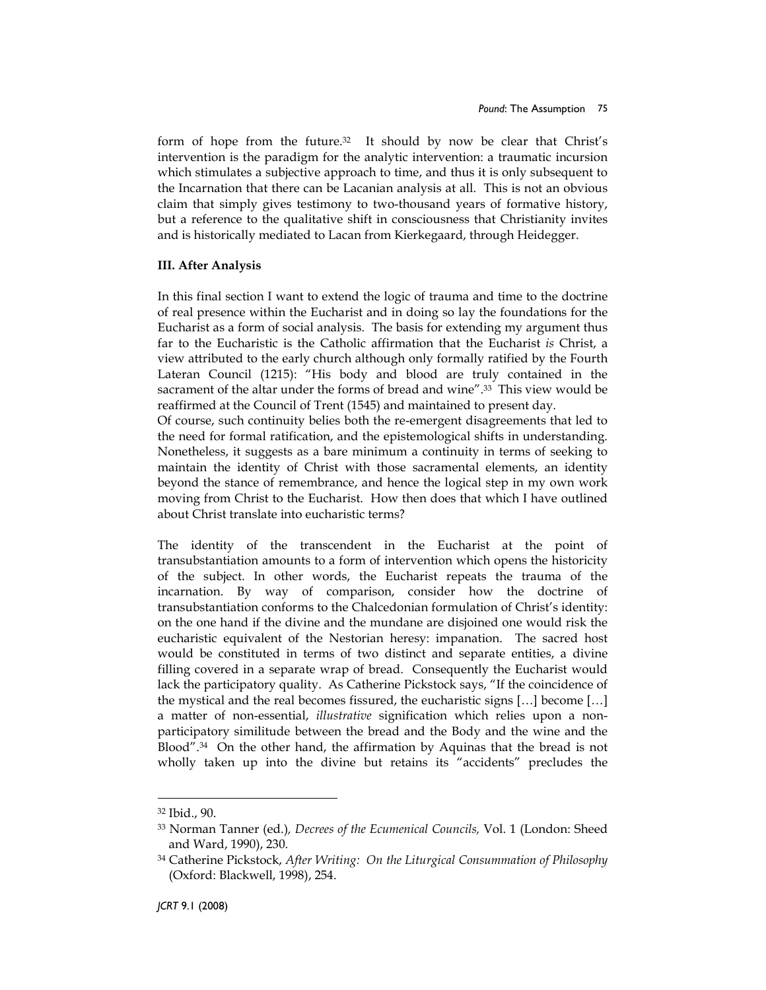form of hope from the future.<sup>32</sup> It should by now be clear that Christ's intervention is the paradigm for the analytic intervention: a traumatic incursion which stimulates a subjective approach to time, and thus it is only subsequent to the Incarnation that there can be Lacanian analysis at all. This is not an obvious claim that simply gives testimony to two-thousand years of formative history, but a reference to the qualitative shift in consciousness that Christianity invites and is historically mediated to Lacan from Kierkegaard, through Heidegger.

## III. After Analysis

In this final section I want to extend the logic of trauma and time to the doctrine of real presence within the Eucharist and in doing so lay the foundations for the Eucharist as a form of social analysis. The basis for extending my argument thus far to the Eucharistic is the Catholic affirmation that the Eucharist is Christ, a view attributed to the early church although only formally ratified by the Fourth Lateran Council (1215): "His body and blood are truly contained in the sacrament of the altar under the forms of bread and wine".<sup>33</sup> This view would be reaffirmed at the Council of Trent (1545) and maintained to present day.

Of course, such continuity belies both the re-emergent disagreements that led to the need for formal ratification, and the epistemological shifts in understanding. Nonetheless, it suggests as a bare minimum a continuity in terms of seeking to maintain the identity of Christ with those sacramental elements, an identity beyond the stance of remembrance, and hence the logical step in my own work moving from Christ to the Eucharist. How then does that which I have outlined about Christ translate into eucharistic terms?

The identity of the transcendent in the Eucharist at the point of transubstantiation amounts to a form of intervention which opens the historicity of the subject. In other words, the Eucharist repeats the trauma of the incarnation. By way of comparison, consider how the doctrine of transubstantiation conforms to the Chalcedonian formulation of Christ's identity: on the one hand if the divine and the mundane are disjoined one would risk the eucharistic equivalent of the Nestorian heresy: impanation. The sacred host would be constituted in terms of two distinct and separate entities, a divine filling covered in a separate wrap of bread. Consequently the Eucharist would lack the participatory quality. As Catherine Pickstock says, "If the coincidence of the mystical and the real becomes fissured, the eucharistic signs […] become […] a matter of non-essential, illustrative signification which relies upon a nonparticipatory similitude between the bread and the Body and the wine and the Blood". $34$  On the other hand, the affirmation by Aquinas that the bread is not wholly taken up into the divine but retains its "accidents" precludes the

<sup>32</sup> Ibid., 90.

<sup>33</sup> Norman Tanner (ed.), Decrees of the Ecumenical Councils, Vol. 1 (London: Sheed and Ward, 1990), 230.

<sup>&</sup>lt;sup>34</sup> Catherine Pickstock, After Writing: On the Liturgical Consummation of Philosophy (Oxford: Blackwell, 1998), 254.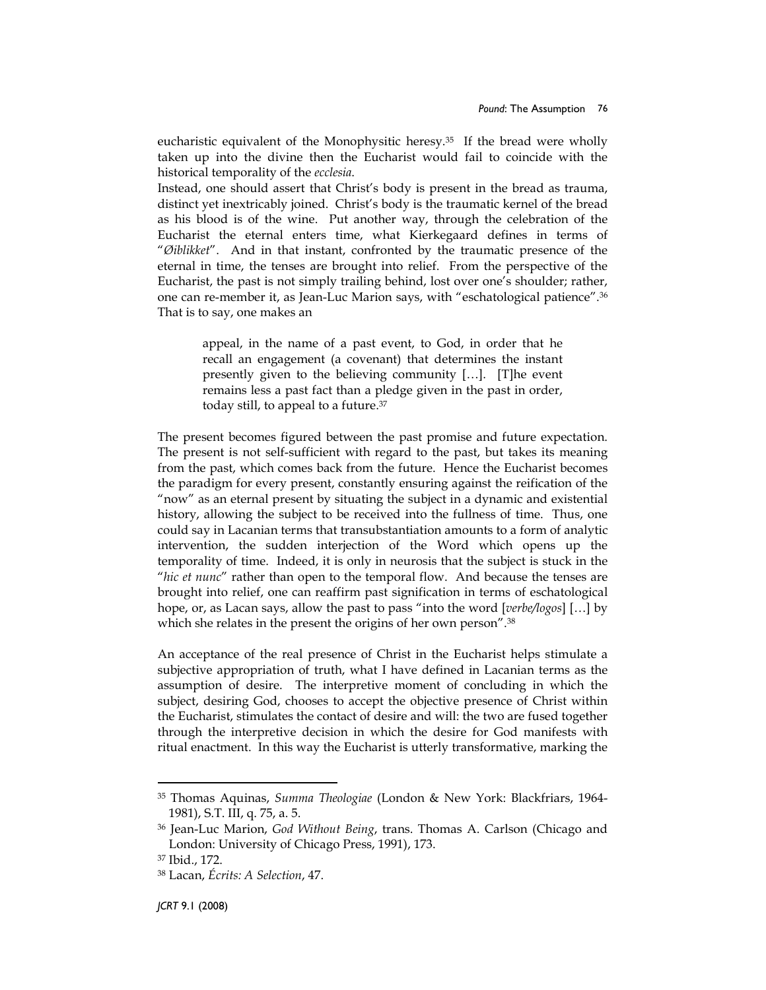eucharistic equivalent of the Monophysitic heresy.<sup>35</sup> If the bread were wholly taken up into the divine then the Eucharist would fail to coincide with the historical temporality of the ecclesia.

Instead, one should assert that Christ's body is present in the bread as trauma, distinct yet inextricably joined. Christ's body is the traumatic kernel of the bread as his blood is of the wine. Put another way, through the celebration of the Eucharist the eternal enters time, what Kierkegaard defines in terms of "Øiblikket". And in that instant, confronted by the traumatic presence of the eternal in time, the tenses are brought into relief. From the perspective of the Eucharist, the past is not simply trailing behind, lost over one's shoulder; rather, one can re-member it, as Jean-Luc Marion says, with "eschatological patience".<sup>36</sup> That is to say, one makes an

appeal, in the name of a past event, to God, in order that he recall an engagement (a covenant) that determines the instant presently given to the believing community […]. [T]he event remains less a past fact than a pledge given in the past in order, today still, to appeal to a future.<sup>37</sup>

The present becomes figured between the past promise and future expectation. The present is not self-sufficient with regard to the past, but takes its meaning from the past, which comes back from the future. Hence the Eucharist becomes the paradigm for every present, constantly ensuring against the reification of the "now" as an eternal present by situating the subject in a dynamic and existential history, allowing the subject to be received into the fullness of time. Thus, one could say in Lacanian terms that transubstantiation amounts to a form of analytic intervention, the sudden interjection of the Word which opens up the temporality of time. Indeed, it is only in neurosis that the subject is stuck in the "hic et nunc" rather than open to the temporal flow. And because the tenses are brought into relief, one can reaffirm past signification in terms of eschatological hope, or, as Lacan says, allow the past to pass "into the word [verbe/logos] [...] by which she relates in the present the origins of her own person".<sup>38</sup>

An acceptance of the real presence of Christ in the Eucharist helps stimulate a subjective appropriation of truth, what I have defined in Lacanian terms as the assumption of desire. The interpretive moment of concluding in which the subject, desiring God, chooses to accept the objective presence of Christ within the Eucharist, stimulates the contact of desire and will: the two are fused together through the interpretive decision in which the desire for God manifests with ritual enactment. In this way the Eucharist is utterly transformative, marking the

<sup>35</sup> Thomas Aquinas, Summa Theologiae (London & New York: Blackfriars, 1964- 1981), S.T. III, q. 75, a. 5.

<sup>36</sup> Jean-Luc Marion, God Without Being, trans. Thomas A. Carlson (Chicago and London: University of Chicago Press, 1991), 173.

<sup>37</sup> Ibid., 172.

<sup>38</sup> Lacan, Écrits: A Selection, 47.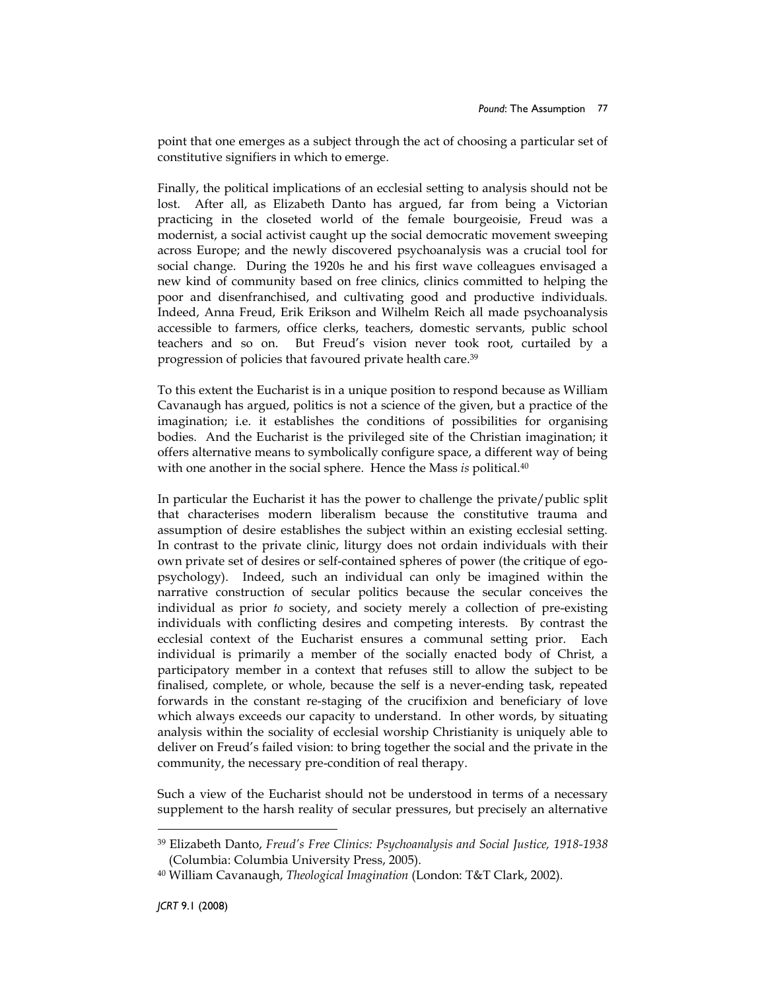point that one emerges as a subject through the act of choosing a particular set of constitutive signifiers in which to emerge.

Finally, the political implications of an ecclesial setting to analysis should not be lost. After all, as Elizabeth Danto has argued, far from being a Victorian practicing in the closeted world of the female bourgeoisie, Freud was a modernist, a social activist caught up the social democratic movement sweeping across Europe; and the newly discovered psychoanalysis was a crucial tool for social change. During the 1920s he and his first wave colleagues envisaged a new kind of community based on free clinics, clinics committed to helping the poor and disenfranchised, and cultivating good and productive individuals. Indeed, Anna Freud, Erik Erikson and Wilhelm Reich all made psychoanalysis accessible to farmers, office clerks, teachers, domestic servants, public school teachers and so on. But Freud's vision never took root, curtailed by a progression of policies that favoured private health care.<sup>39</sup>

To this extent the Eucharist is in a unique position to respond because as William Cavanaugh has argued, politics is not a science of the given, but a practice of the imagination; i.e. it establishes the conditions of possibilities for organising bodies. And the Eucharist is the privileged site of the Christian imagination; it offers alternative means to symbolically configure space, a different way of being with one another in the social sphere. Hence the Mass is political. $^{40}$ 

In particular the Eucharist it has the power to challenge the private/public split that characterises modern liberalism because the constitutive trauma and assumption of desire establishes the subject within an existing ecclesial setting. In contrast to the private clinic, liturgy does not ordain individuals with their own private set of desires or self-contained spheres of power (the critique of egopsychology). Indeed, such an individual can only be imagined within the narrative construction of secular politics because the secular conceives the individual as prior to society, and society merely a collection of pre-existing individuals with conflicting desires and competing interests. By contrast the ecclesial context of the Eucharist ensures a communal setting prior. Each individual is primarily a member of the socially enacted body of Christ, a participatory member in a context that refuses still to allow the subject to be finalised, complete, or whole, because the self is a never-ending task, repeated forwards in the constant re-staging of the crucifixion and beneficiary of love which always exceeds our capacity to understand. In other words, by situating analysis within the sociality of ecclesial worship Christianity is uniquely able to deliver on Freud's failed vision: to bring together the social and the private in the community, the necessary pre-condition of real therapy.

Such a view of the Eucharist should not be understood in terms of a necessary supplement to the harsh reality of secular pressures, but precisely an alternative

<sup>39</sup> Elizabeth Danto, Freud's Free Clinics: Psychoanalysis and Social Justice, 1918-1938 (Columbia: Columbia University Press, 2005).

<sup>40</sup> William Cavanaugh, Theological Imagination (London: T&T Clark, 2002).